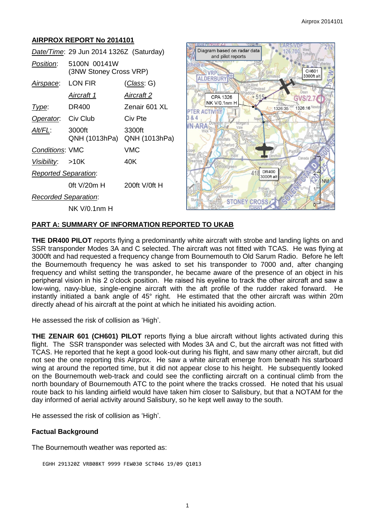# **AIRPROX REPORT No 2014101**

|                             | Date/Time: 29 Jun 2014 1326Z (Saturday) |                         |
|-----------------------------|-----------------------------------------|-------------------------|
| Position:                   | 5100N 00141W<br>(3NW Stoney Cross VRP)  |                         |
| <u>Airspace</u> :           | LON FIR                                 | (Class: G)              |
|                             | Aircraft 1                              | Aircraft 2              |
| Type:                       | DR400                                   | Zenair 601 XL           |
| Operator. Civ Club          |                                         | Civ Pte                 |
| Alt/FL:                     | 3000ft<br>QNH (1013hPa)                 | 3300ft<br>QNH (1013hPa) |
| <b>Conditions: VMC</b>      |                                         | VMC                     |
| Visibility: >10K            |                                         | 40K                     |
| <b>Reported Separation:</b> |                                         |                         |
|                             | 0ft V/20m H                             | $200ft$ V/0ft H         |
| <b>Recorded Separation:</b> |                                         |                         |
|                             | <b>NK V/0.1nm H</b>                     |                         |



### **PART A: SUMMARY OF INFORMATION REPORTED TO UKAB**

**THE DR400 PILOT** reports flying a predominantly white aircraft with strobe and landing lights on and SSR transponder Modes 3A and C selected. The aircraft was not fitted with TCAS. He was flying at 3000ft and had requested a frequency change from Bournemouth to Old Sarum Radio. Before he left the Bournemouth frequency he was asked to set his transponder to 7000 and, after changing frequency and whilst setting the transponder, he became aware of the presence of an object in his peripheral vision in his 2 o'clock position. He raised his eyeline to track the other aircraft and saw a low-wing, navy-blue, single-engine aircraft with the aft profile of the rudder raked forward. He instantly initiated a bank angle of 45° right. He estimated that the other aircraft was within 20m directly ahead of his aircraft at the point at which he initiated his avoiding action.

He assessed the risk of collision as 'High'.

**THE ZENAIR 601 (CH601) PILOT** reports flying a blue aircraft without lights activated during this flight. The SSR transponder was selected with Modes 3A and C, but the aircraft was not fitted with TCAS. He reported that he kept a good look-out during his flight, and saw many other aircraft, but did not see the one reporting this Airprox. He saw a white aircraft emerge from beneath his starboard wing at around the reported time, but it did not appear close to his height. He subsequently looked on the Bournemouth web-track and could see the conflicting aircraft on a continual climb from the north boundary of Bournemouth ATC to the point where the tracks crossed. He noted that his usual route back to his landing airfield would have taken him closer to Salisbury, but that a NOTAM for the day informed of aerial activity around Salisbury, so he kept well away to the south.

He assessed the risk of collision as 'High'.

### **Factual Background**

The Bournemouth weather was reported as:

```
EGHH 291320Z VRB08KT 9999 FEW030 SCT046 19/09 Q1013
```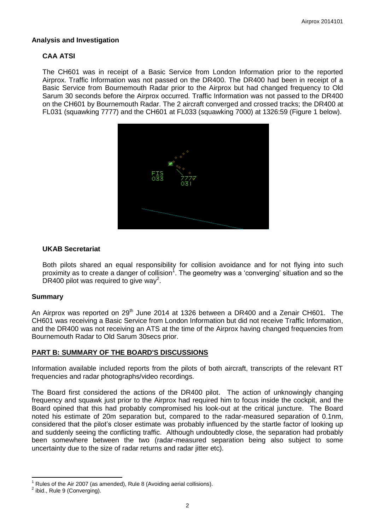## **Analysis and Investigation**

# **CAA ATSI**

The CH601 was in receipt of a Basic Service from London Information prior to the reported Airprox. Traffic Information was not passed on the DR400. The DR400 had been in receipt of a Basic Service from Bournemouth Radar prior to the Airprox but had changed frequency to Old Sarum 30 seconds before the Airprox occurred. Traffic Information was not passed to the DR400 on the CH601 by Bournemouth Radar. The 2 aircraft converged and crossed tracks; the DR400 at FL031 (squawking 7777) and the CH601 at FL033 (squawking 7000) at 1326:59 (Figure 1 below).



## **UKAB Secretariat**

Both pilots shared an equal responsibility for collision avoidance and for not flying into such proximity as to create a danger of collision<sup>1</sup>. The geometry was a 'converging' situation and so the DR400 pilot was required to give way<sup>2</sup>.

### **Summary**

An Airprox was reported on 29<sup>th</sup> June 2014 at 1326 between a DR400 and a Zenair CH601. The CH601 was receiving a Basic Service from London Information but did not receive Traffic Information, and the DR400 was not receiving an ATS at the time of the Airprox having changed frequencies from Bournemouth Radar to Old Sarum 30secs prior.

## **PART B: SUMMARY OF THE BOARD'S DISCUSSIONS**

Information available included reports from the pilots of both aircraft, transcripts of the relevant RT frequencies and radar photographs/video recordings.

The Board first considered the actions of the DR400 pilot. The action of unknowingly changing frequency and squawk just prior to the Airprox had required him to focus inside the cockpit, and the Board opined that this had probably compromised his look-out at the critical juncture. The Board noted his estimate of 20m separation but, compared to the radar-measured separation of 0.1nm, considered that the pilot's closer estimate was probably influenced by the startle factor of looking up and suddenly seeing the conflicting traffic. Although undoubtedly close, the separation had probably been somewhere between the two (radar-measured separation being also subject to some uncertainty due to the size of radar returns and radar jitter etc).

 $\overline{\phantom{a}}$ Rules of the Air 2007 (as amended), Rule 8 (Avoiding aerial collisions).

 $2$  ibid., Rule 9 (Converging).